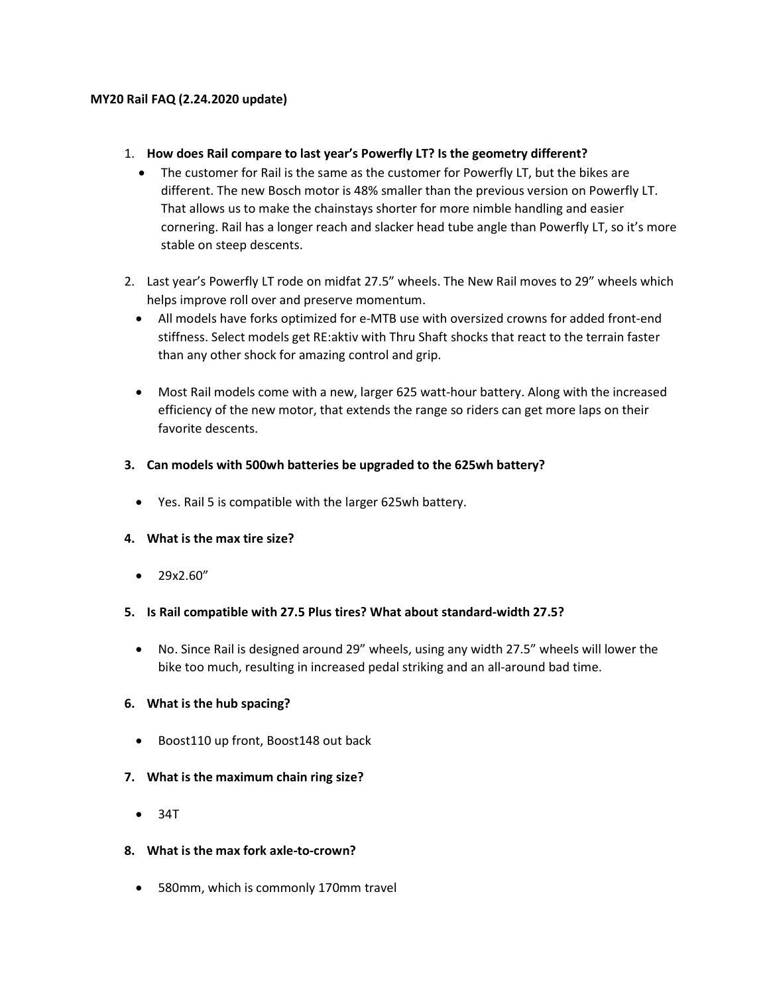### MY20 Rail FAQ (2.24.2020 update)

## 1. How does Rail compare to last year's Powerfly LT? Is the geometry different?

- The customer for Rail is the same as the customer for Powerfly LT, but the bikes are different. The new Bosch motor is 48% smaller than the previous version on Powerfly LT. That allows us to make the chainstays shorter for more nimble handling and easier cornering. Rail has a longer reach and slacker head tube angle than Powerfly LT, so it's more stable on steep descents.
- 2. Last year's Powerfly LT rode on midfat 27.5" wheels. The New Rail moves to 29" wheels which helps improve roll over and preserve momentum.
	- All models have forks optimized for e-MTB use with oversized crowns for added front-end stiffness. Select models get RE:aktiv with Thru Shaft shocks that react to the terrain faster than any other shock for amazing control and grip.
	- Most Rail models come with a new, larger 625 watt-hour battery. Along with the increased efficiency of the new motor, that extends the range so riders can get more laps on their favorite descents.

## 3. Can models with 500wh batteries be upgraded to the 625wh battery?

Yes. Rail 5 is compatible with the larger 625wh battery.

## 4. What is the max tire size?

• 29x2.60"

## 5. Is Rail compatible with 27.5 Plus tires? What about standard-width 27.5?

 No. Since Rail is designed around 29" wheels, using any width 27.5" wheels will lower the bike too much, resulting in increased pedal striking and an all-around bad time.

## 6. What is the hub spacing?

• Boost110 up front, Boost148 out back

## 7. What is the maximum chain ring size?

- $34T$
- 8. What is the max fork axle-to-crown?
	- 580mm, which is commonly 170mm travel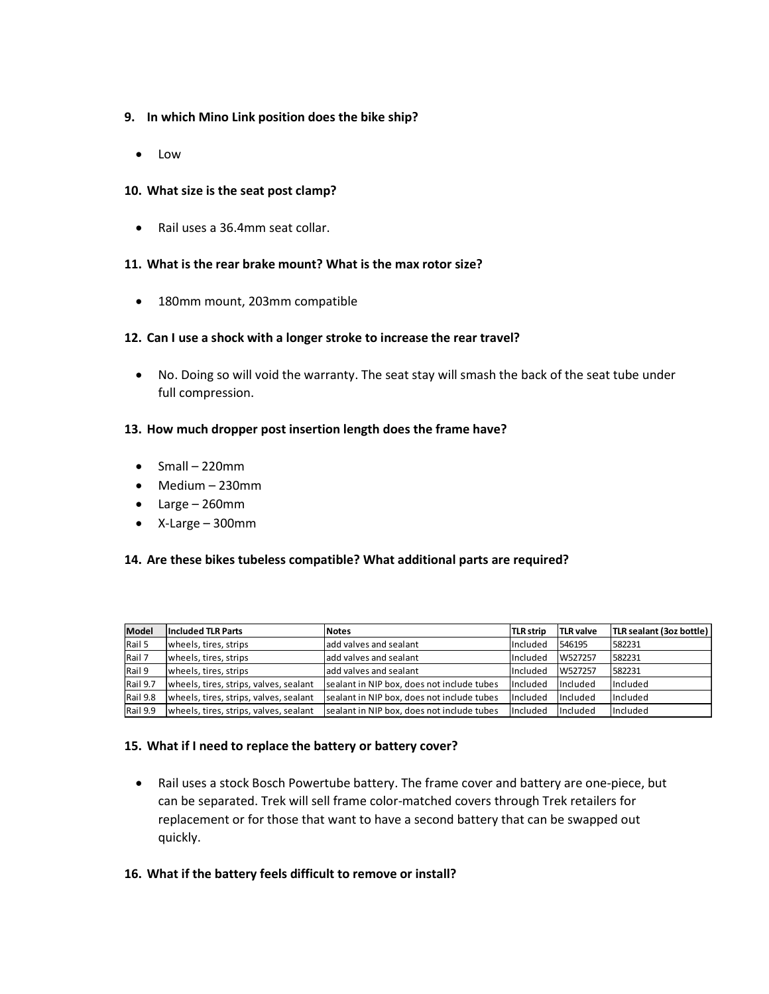## 9. In which Mino Link position does the bike ship?

• Low

### 10. What size is the seat post clamp?

Rail uses a 36.4mm seat collar.

### 11. What is the rear brake mount? What is the max rotor size?

180mm mount, 203mm compatible

### 12. Can I use a shock with a longer stroke to increase the rear travel?

 No. Doing so will void the warranty. The seat stay will smash the back of the seat tube under full compression.

#### 13. How much dropper post insertion length does the frame have?

- $\bullet$  Small 220mm
- Medium 230mm
- Large 260mm
- X-Large 300mm

#### 14. Are these bikes tubeless compatible? What additional parts are required?

| <b>Model</b> | <b>Included TLR Parts</b>              | lNotes                                     | TLR strip | <b>TLR valve</b> | TLR sealant (3oz bottle) |
|--------------|----------------------------------------|--------------------------------------------|-----------|------------------|--------------------------|
| Rail 5       | wheels, tires, strips                  | ladd valves and sealant                    | Included  | 546195           | 1582231                  |
| Rail 7       | wheels, tires, strips                  | ladd valves and sealant                    | Included  | W527257          | 582231                   |
| Rail 9       | wheels, tires, strips                  | ladd valves and sealant                    | Included  | W527257          | 582231                   |
| Rail 9.7     | wheels, tires, strips, valves, sealant | sealant in NIP box, does not include tubes | Included  | Included         | <b>Included</b>          |
| Rail 9.8     | wheels, tires, strips, valves, sealant | sealant in NIP box, does not include tubes | Included  | Included         | <b>Included</b>          |
| Rail 9.9     | wheels, tires, strips, valves, sealant | sealant in NIP box, does not include tubes | Included  | <b>Included</b>  | <b>Included</b>          |

#### 15. What if I need to replace the battery or battery cover?

 Rail uses a stock Bosch Powertube battery. The frame cover and battery are one-piece, but can be separated. Trek will sell frame color-matched covers through Trek retailers for replacement or for those that want to have a second battery that can be swapped out quickly.

#### 16. What if the battery feels difficult to remove or install?